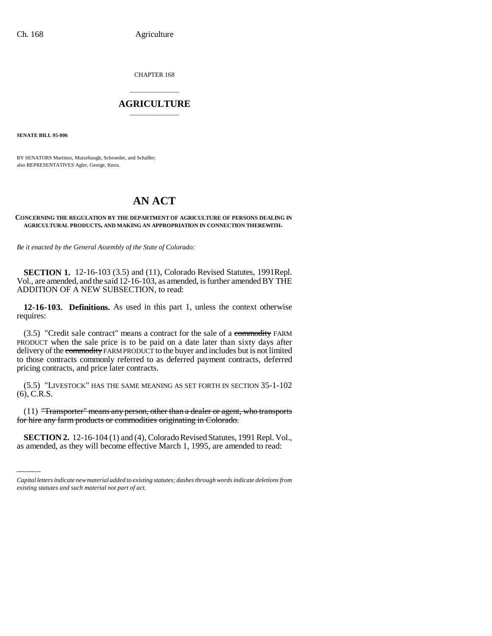CHAPTER 168

# \_\_\_\_\_\_\_\_\_\_\_\_\_\_\_ **AGRICULTURE** \_\_\_\_\_\_\_\_\_\_\_\_\_\_\_

**SENATE BILL 95-006**

BY SENATORS Martinez, Mutzebaugh, Schroeder, and Schaffer; also REPRESENTATIVES Agler, George, Knox.

# **AN ACT**

#### **CONCERNING THE REGULATION BY THE DEPARTMENT OF AGRICULTURE OF PERSONS DEALING IN AGRICULTURAL PRODUCTS, AND MAKING AN APPROPRIATION IN CONNECTION THEREWITH.**

*Be it enacted by the General Assembly of the State of Colorado:*

**SECTION 1.** 12-16-103 (3.5) and (11), Colorado Revised Statutes, 1991Repl. Vol., are amended, and the said 12-16-103, as amended, is further amended BY THE ADDITION OF A NEW SUBSECTION, to read:

**12-16-103. Definitions.** As used in this part 1, unless the context otherwise requires:

 $(3.5)$  "Credit sale contract" means a contract for the sale of a commodity FARM PRODUCT when the sale price is to be paid on a date later than sixty days after delivery of the commodity FARM PRODUCT to the buyer and includes but is not limited to those contracts commonly referred to as deferred payment contracts, deferred pricing contracts, and price later contracts.

(5.5) "LIVESTOCK" HAS THE SAME MEANING AS SET FORTH IN SECTION 35-1-102 (6), C.R.S.

(11) "Transporter" means any person, other than a dealer or agent, who transports for hire any farm products or commodities originating in Colorado.

**SECTION 2.** 12-16-104 (1) and (4), Colorado Revised Statutes, 1991 Repl. Vol., as amended, as they will become effective March 1, 1995, are amended to read:

*Capital letters indicate new material added to existing statutes; dashes through words indicate deletions from existing statutes and such material not part of act.*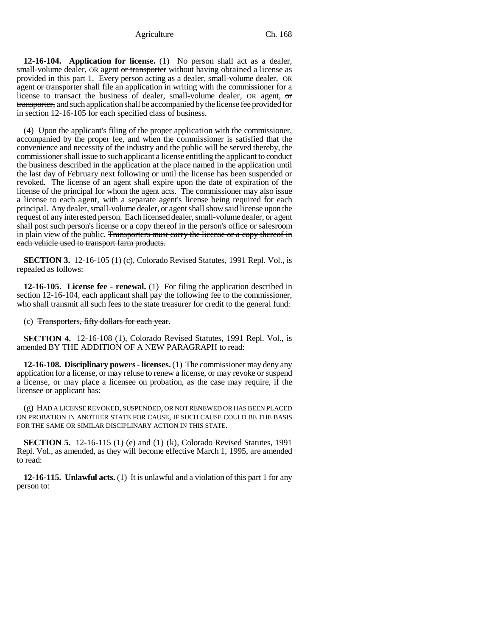**12-16-104. Application for license.** (1) No person shall act as a dealer, small-volume dealer, OR agent or transporter without having obtained a license as provided in this part 1. Every person acting as a dealer, small-volume dealer, OR agent or transporter shall file an application in writing with the commissioner for a license to transact the business of dealer, small-volume dealer, OR agent, or transporter, and such application shall be accompanied by the license fee provided for in section 12-16-105 for each specified class of business.

(4) Upon the applicant's filing of the proper application with the commissioner, accompanied by the proper fee, and when the commissioner is satisfied that the convenience and necessity of the industry and the public will be served thereby, the commissioner shall issue to such applicant a license entitling the applicant to conduct the business described in the application at the place named in the application until the last day of February next following or until the license has been suspended or revoked. The license of an agent shall expire upon the date of expiration of the license of the principal for whom the agent acts. The commissioner may also issue a license to each agent, with a separate agent's license being required for each principal. Any dealer, small-volume dealer, or agent shall show said license upon the request of any interested person. Each licensed dealer, small-volume dealer, or agent shall post such person's license or a copy thereof in the person's office or salesroom in plain view of the public. Transporters must carry the license or a copy thereof in each vehicle used to transport farm products.

**SECTION 3.** 12-16-105 (1) (c), Colorado Revised Statutes, 1991 Repl. Vol., is repealed as follows:

**12-16-105. License fee - renewal.** (1) For filing the application described in section 12-16-104, each applicant shall pay the following fee to the commissioner, who shall transmit all such fees to the state treasurer for credit to the general fund:

(c) Transporters, fifty dollars for each year.

**SECTION 4.** 12-16-108 (1), Colorado Revised Statutes, 1991 Repl. Vol., is amended BY THE ADDITION OF A NEW PARAGRAPH to read:

**12-16-108. Disciplinary powers - licenses.** (1) The commissioner may deny any application for a license, or may refuse to renew a license, or may revoke or suspend a license, or may place a licensee on probation, as the case may require, if the licensee or applicant has:

(g) HAD A LICENSE REVOKED, SUSPENDED, OR NOT RENEWED OR HAS BEEN PLACED ON PROBATION IN ANOTHER STATE FOR CAUSE, IF SUCH CAUSE COULD BE THE BASIS FOR THE SAME OR SIMILAR DISCIPLINARY ACTION IN THIS STATE.

**SECTION 5.** 12-16-115 (1) (e) and (1) (k), Colorado Revised Statutes, 1991 Repl. Vol., as amended, as they will become effective March 1, 1995, are amended to read:

**12-16-115. Unlawful acts.** (1) It is unlawful and a violation of this part 1 for any person to: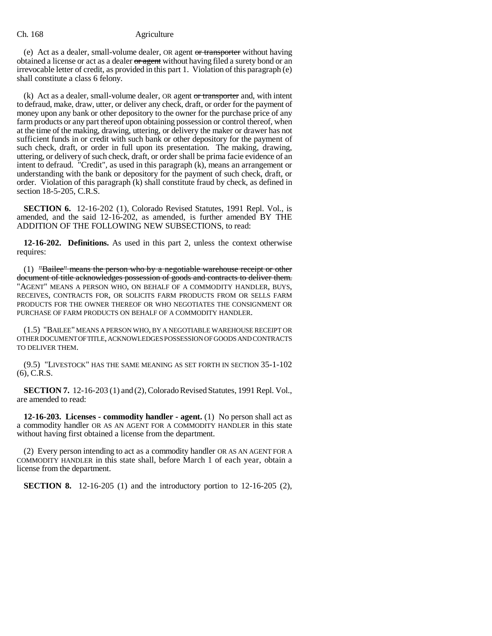(e) Act as a dealer, small-volume dealer, OR agent or transporter without having obtained a license or act as a dealer or agent without having filed a surety bond or an irrevocable letter of credit, as provided in this part 1. Violation of this paragraph (e) shall constitute a class 6 felony.

 $(k)$  Act as a dealer, small-volume dealer, OR agent or transporter and, with intent to defraud, make, draw, utter, or deliver any check, draft, or order for the payment of money upon any bank or other depository to the owner for the purchase price of any farm products or any part thereof upon obtaining possession or control thereof, when at the time of the making, drawing, uttering, or delivery the maker or drawer has not sufficient funds in or credit with such bank or other depository for the payment of such check, draft, or order in full upon its presentation. The making, drawing, uttering, or delivery of such check, draft, or order shall be prima facie evidence of an intent to defraud. "Credit", as used in this paragraph (k), means an arrangement or understanding with the bank or depository for the payment of such check, draft, or order. Violation of this paragraph (k) shall constitute fraud by check, as defined in section 18-5-205, C.R.S.

**SECTION 6.** 12-16-202 (1), Colorado Revised Statutes, 1991 Repl. Vol., is amended, and the said 12-16-202, as amended, is further amended BY THE ADDITION OF THE FOLLOWING NEW SUBSECTIONS, to read:

**12-16-202. Definitions.** As used in this part 2, unless the context otherwise requires:

(1) "Bailee" means the person who by a negotiable warehouse receipt or other document of title acknowledges possession of goods and contracts to deliver them. "AGENT" MEANS A PERSON WHO, ON BEHALF OF A COMMODITY HANDLER, BUYS, RECEIVES, CONTRACTS FOR, OR SOLICITS FARM PRODUCTS FROM OR SELLS FARM PRODUCTS FOR THE OWNER THEREOF OR WHO NEGOTIATES THE CONSIGNMENT OR PURCHASE OF FARM PRODUCTS ON BEHALF OF A COMMODITY HANDLER.

(1.5) "BAILEE" MEANS A PERSON WHO, BY A NEGOTIABLE WAREHOUSE RECEIPT OR OTHER DOCUMENT OF TITLE, ACKNOWLEDGES POSSESSION OF GOODS AND CONTRACTS TO DELIVER THEM.

(9.5) "LIVESTOCK" HAS THE SAME MEANING AS SET FORTH IN SECTION 35-1-102 (6), C.R.S.

**SECTION 7.** 12-16-203 (1) and (2), Colorado Revised Statutes, 1991 Repl. Vol., are amended to read:

**12-16-203. Licenses - commodity handler - agent.** (1) No person shall act as a commodity handler OR AS AN AGENT FOR A COMMODITY HANDLER in this state without having first obtained a license from the department.

(2) Every person intending to act as a commodity handler OR AS AN AGENT FOR A COMMODITY HANDLER in this state shall, before March 1 of each year, obtain a license from the department.

**SECTION 8.** 12-16-205 (1) and the introductory portion to 12-16-205 (2),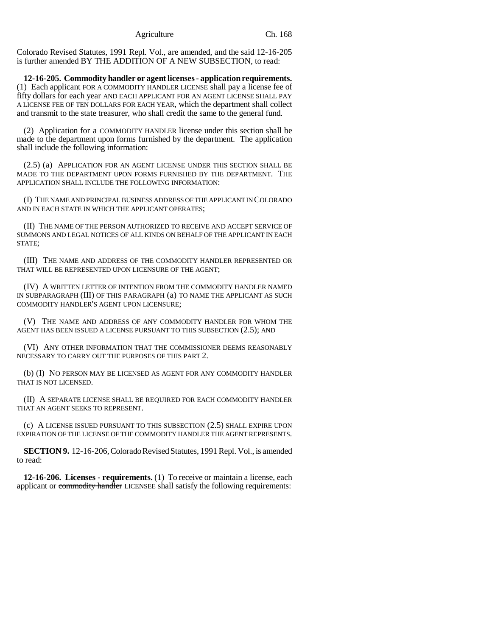Colorado Revised Statutes, 1991 Repl. Vol., are amended, and the said 12-16-205 is further amended BY THE ADDITION OF A NEW SUBSECTION, to read:

**12-16-205. Commodity handler or agent licenses - application requirements.** (1) Each applicant FOR A COMMODITY HANDLER LICENSE shall pay a license fee of fifty dollars for each year AND EACH APPLICANT FOR AN AGENT LICENSE SHALL PAY A LICENSE FEE OF TEN DOLLARS FOR EACH YEAR, which the department shall collect and transmit to the state treasurer, who shall credit the same to the general fund.

(2) Application for a COMMODITY HANDLER license under this section shall be made to the department upon forms furnished by the department. The application shall include the following information:

(2.5) (a) APPLICATION FOR AN AGENT LICENSE UNDER THIS SECTION SHALL BE MADE TO THE DEPARTMENT UPON FORMS FURNISHED BY THE DEPARTMENT. THE APPLICATION SHALL INCLUDE THE FOLLOWING INFORMATION:

(I) THE NAME AND PRINCIPAL BUSINESS ADDRESS OF THE APPLICANT IN COLORADO AND IN EACH STATE IN WHICH THE APPLICANT OPERATES;

(II) THE NAME OF THE PERSON AUTHORIZED TO RECEIVE AND ACCEPT SERVICE OF SUMMONS AND LEGAL NOTICES OF ALL KINDS ON BEHALF OF THE APPLICANT IN EACH STATE;

(III) THE NAME AND ADDRESS OF THE COMMODITY HANDLER REPRESENTED OR THAT WILL BE REPRESENTED UPON LICENSURE OF THE AGENT;

(IV) A WRITTEN LETTER OF INTENTION FROM THE COMMODITY HANDLER NAMED IN SUBPARAGRAPH (III) OF THIS PARAGRAPH (a) TO NAME THE APPLICANT AS SUCH COMMODITY HANDLER'S AGENT UPON LICENSURE;

(V) THE NAME AND ADDRESS OF ANY COMMODITY HANDLER FOR WHOM THE AGENT HAS BEEN ISSUED A LICENSE PURSUANT TO THIS SUBSECTION (2.5); AND

(VI) ANY OTHER INFORMATION THAT THE COMMISSIONER DEEMS REASONABLY NECESSARY TO CARRY OUT THE PURPOSES OF THIS PART 2.

(b) (I) NO PERSON MAY BE LICENSED AS AGENT FOR ANY COMMODITY HANDLER THAT IS NOT LICENSED.

(II) A SEPARATE LICENSE SHALL BE REQUIRED FOR EACH COMMODITY HANDLER THAT AN AGENT SEEKS TO REPRESENT.

(c) A LICENSE ISSUED PURSUANT TO THIS SUBSECTION (2.5) SHALL EXPIRE UPON EXPIRATION OF THE LICENSE OF THE COMMODITY HANDLER THE AGENT REPRESENTS.

**SECTION 9.** 12-16-206, Colorado Revised Statutes, 1991 Repl. Vol., is amended to read:

**12-16-206. Licenses - requirements.** (1) To receive or maintain a license, each applicant or commodity handler LICENSEE shall satisfy the following requirements: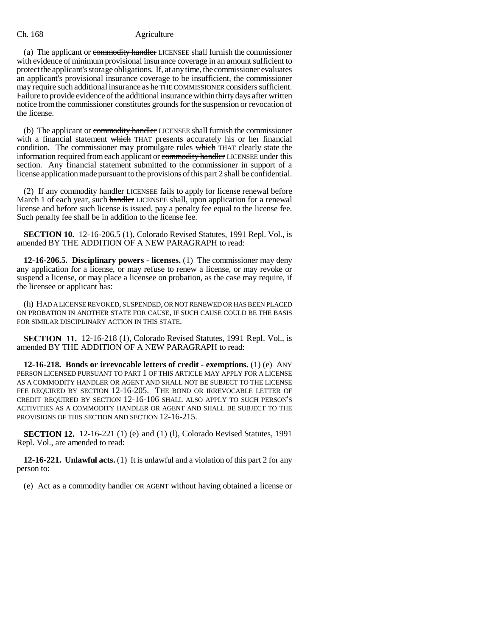(a) The applicant or commodity handler LICENSEE shall furnish the commissioner with evidence of minimum provisional insurance coverage in an amount sufficient to protect the applicant's storage obligations. If, at any time, the commissioner evaluates an applicant's provisional insurance coverage to be insufficient, the commissioner may require such additional insurance as he THE COMMISSIONER considers sufficient. Failure to provide evidence of the additional insurance within thirty days after written notice from the commissioner constitutes grounds for the suspension or revocation of the license.

(b) The applicant or commodity handler LICENSEE shall furnish the commissioner with a financial statement which THAT presents accurately his or her financial condition. The commissioner may promulgate rules which THAT clearly state the information required from each applicant or commodity handler LICENSEE under this section. Any financial statement submitted to the commissioner in support of a license application made pursuant to the provisions of this part 2 shall be confidential.

(2) If any commodity handler LICENSEE fails to apply for license renewal before March 1 of each year, such handler LICENSEE shall, upon application for a renewal license and before such license is issued, pay a penalty fee equal to the license fee. Such penalty fee shall be in addition to the license fee.

**SECTION 10.** 12-16-206.5 (1), Colorado Revised Statutes, 1991 Repl. Vol., is amended BY THE ADDITION OF A NEW PARAGRAPH to read:

**12-16-206.5. Disciplinary powers - licenses.** (1) The commissioner may deny any application for a license, or may refuse to renew a license, or may revoke or suspend a license, or may place a licensee on probation, as the case may require, if the licensee or applicant has:

(h) HAD A LICENSE REVOKED, SUSPENDED, OR NOT RENEWED OR HAS BEEN PLACED ON PROBATION IN ANOTHER STATE FOR CAUSE, IF SUCH CAUSE COULD BE THE BASIS FOR SIMILAR DISCIPLINARY ACTION IN THIS STATE.

**SECTION 11.** 12-16-218 (1), Colorado Revised Statutes, 1991 Repl. Vol., is amended BY THE ADDITION OF A NEW PARAGRAPH to read:

**12-16-218. Bonds or irrevocable letters of credit - exemptions.** (1) (e) ANY PERSON LICENSED PURSUANT TO PART 1 OF THIS ARTICLE MAY APPLY FOR A LICENSE AS A COMMODITY HANDLER OR AGENT AND SHALL NOT BE SUBJECT TO THE LICENSE FEE REQUIRED BY SECTION 12-16-205. THE BOND OR IRREVOCABLE LETTER OF CREDIT REQUIRED BY SECTION 12-16-106 SHALL ALSO APPLY TO SUCH PERSON'S ACTIVITIES AS A COMMODITY HANDLER OR AGENT AND SHALL BE SUBJECT TO THE PROVISIONS OF THIS SECTION AND SECTION 12-16-215.

**SECTION 12.** 12-16-221 (1) (e) and (1) (1), Colorado Revised Statutes, 1991 Repl. Vol., are amended to read:

**12-16-221. Unlawful acts.** (1) It is unlawful and a violation of this part 2 for any person to:

(e) Act as a commodity handler OR AGENT without having obtained a license or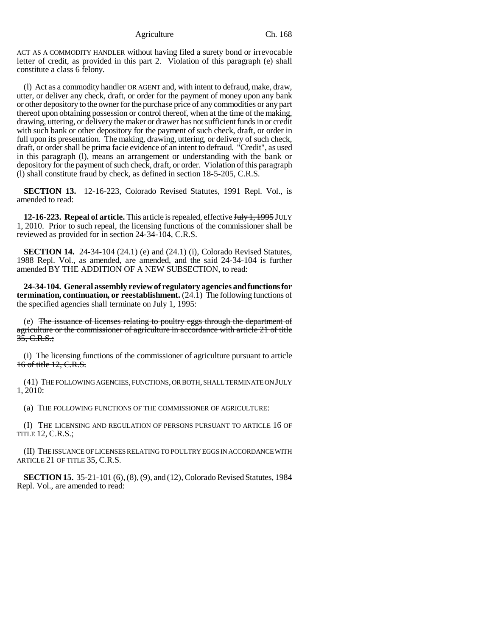ACT AS A COMMODITY HANDLER without having filed a surety bond or irrevocable letter of credit, as provided in this part 2. Violation of this paragraph (e) shall constitute a class 6 felony.

(l) Act as a commodity handler OR AGENT and, with intent to defraud, make, draw, utter, or deliver any check, draft, or order for the payment of money upon any bank or other depository to the owner for the purchase price of any commodities or any part thereof upon obtaining possession or control thereof, when at the time of the making, drawing, uttering, or delivery the maker or drawer has not sufficient funds in or credit with such bank or other depository for the payment of such check, draft, or order in full upon its presentation. The making, drawing, uttering, or delivery of such check, draft, or order shall be prima facie evidence of an intent to defraud. "Credit", as used in this paragraph (l), means an arrangement or understanding with the bank or depository for the payment of such check, draft, or order. Violation of this paragraph (l) shall constitute fraud by check, as defined in section 18-5-205, C.R.S.

**SECTION 13.** 12-16-223, Colorado Revised Statutes, 1991 Repl. Vol., is amended to read:

**12-16-223. Repeal of article.** This article is repealed, effective July 1, 1995 JULY 1, 2010. Prior to such repeal, the licensing functions of the commissioner shall be reviewed as provided for in section 24-34-104, C.R.S.

**SECTION 14.** 24-34-104 (24.1) (e) and (24.1) (i), Colorado Revised Statutes, 1988 Repl. Vol., as amended, are amended, and the said 24-34-104 is further amended BY THE ADDITION OF A NEW SUBSECTION, to read:

**24-34-104. General assembly review of regulatory agencies and functions for termination, continuation, or reestablishment.** (24.1) The following functions of the specified agencies shall terminate on July 1, 1995:

(e) The issuance of licenses relating to poultry eggs through the department of agriculture or the commissioner of agriculture in accordance with article 21 of title  $35, C.R.S.;$ 

(i) The licensing functions of the commissioner of agriculture pursuant to article 16 of title 12, C.R.S.

(41) THE FOLLOWING AGENCIES, FUNCTIONS, OR BOTH, SHALL TERMINATE ON JULY 1, 2010:

(a) THE FOLLOWING FUNCTIONS OF THE COMMISSIONER OF AGRICULTURE:

(I) THE LICENSING AND REGULATION OF PERSONS PURSUANT TO ARTICLE 16 OF TITLE 12, C.R.S.;

(II) THE ISSUANCE OF LICENSES RELATING TO POULTRY EGGS IN ACCORDANCE WITH ARTICLE 21 OF TITLE 35, C.R.S.

**SECTION 15.** 35-21-101 (6), (8), (9), and (12), Colorado Revised Statutes, 1984 Repl. Vol., are amended to read: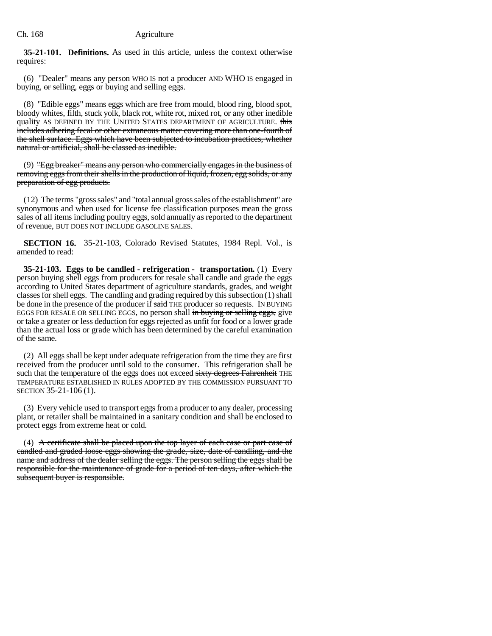**35-21-101. Definitions.** As used in this article, unless the context otherwise requires:

(6) "Dealer" means any person WHO IS not a producer AND WHO IS engaged in buying,  $\sigma$  selling,  $eggs$  or buying and selling eggs.

(8) "Edible eggs" means eggs which are free from mould, blood ring, blood spot, bloody whites, filth, stuck yolk, black rot, white rot, mixed rot, or any other inedible quality AS DEFINED BY THE UNITED STATES DEPARTMENT OF AGRICULTURE. this includes adhering fecal or other extraneous matter covering more than one-fourth of the shell surface. Eggs which have been subjected to incubation practices, whether natural or artificial, shall be classed as inedible.

(9) "Egg breaker" means any person who commercially engages in the business of removing eggs from their shells in the production of liquid, frozen, egg solids, or any preparation of egg products.

(12) The terms "gross sales" and "total annual gross sales of the establishment" are synonymous and when used for license fee classification purposes mean the gross sales of all items including poultry eggs, sold annually as reported to the department of revenue, BUT DOES NOT INCLUDE GASOLINE SALES.

**SECTION 16.** 35-21-103, Colorado Revised Statutes, 1984 Repl. Vol., is amended to read:

**35-21-103. Eggs to be candled - refrigeration - transportation.** (1) Every person buying shell eggs from producers for resale shall candle and grade the eggs according to United States department of agriculture standards, grades, and weight classes for shell eggs. The candling and grading required by this subsection (1) shall be done in the presence of the producer if said THE producer so requests. IN BUYING EGGS FOR RESALE OR SELLING EGGS, no person shall in buying or selling eggs, give or take a greater or less deduction for eggs rejected as unfit for food or a lower grade than the actual loss or grade which has been determined by the careful examination of the same.

(2) All eggs shall be kept under adequate refrigeration from the time they are first received from the producer until sold to the consumer. This refrigeration shall be such that the temperature of the eggs does not exceed sixty degrees Fahrenheit THE TEMPERATURE ESTABLISHED IN RULES ADOPTED BY THE COMMISSION PURSUANT TO SECTION 35-21-106 (1).

(3) Every vehicle used to transport eggs from a producer to any dealer, processing plant, or retailer shall be maintained in a sanitary condition and shall be enclosed to protect eggs from extreme heat or cold.

(4) A certificate shall be placed upon the top layer of each case or part case of candled and graded loose eggs showing the grade, size, date of candling, and the name and address of the dealer selling the eggs. The person selling the eggs shall be responsible for the maintenance of grade for a period of ten days, after which the subsequent buyer is responsible.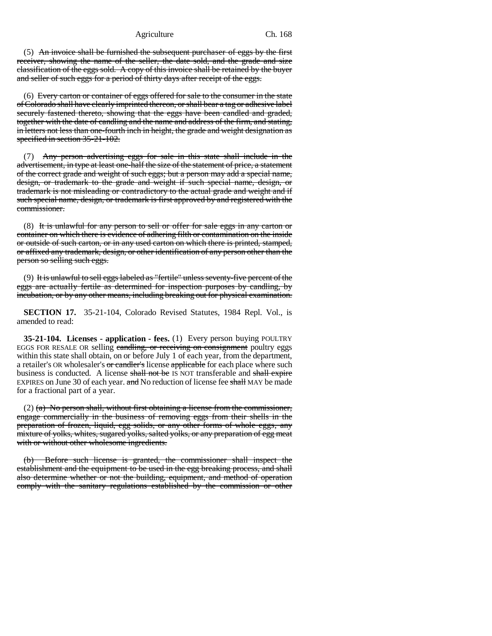(5) An invoice shall be furnished the subsequent purchaser of eggs by the first receiver, showing the name of the seller, the date sold, and the grade and size classification of the eggs sold. A copy of this invoice shall be retained by the buyer and seller of such eggs for a period of thirty days after receipt of the eggs.

(6) Every carton or container of eggs offered for sale to the consumer in the state of Colorado shall have clearly imprinted thereon, or shall bear a tag or adhesive label securely fastened thereto, showing that the eggs have been candled and graded, together with the date of candling and the name and address of the firm, and stating, in letters not less than one-fourth inch in height, the grade and weight designation as specified in section 35-21-102.

(7) Any person advertising eggs for sale in this state shall include in the advertisement, in type at least one-half the size of the statement of price, a statement of the correct grade and weight of such eggs; but a person may add a special name, design, or trademark to the grade and weight if such special name, design, or trademark is not misleading or contradictory to the actual grade and weight and if such special name, design, or trademark is first approved by and registered with the commissioner.

(8) It is unlawful for any person to sell or offer for sale eggs in any carton or container on which there is evidence of adhering filth or contamination on the inside or outside of such carton, or in any used carton on which there is printed, stamped, or affixed any trademark, design, or other identification of any person other than the person so selling such eggs.

(9) It is unlawful to sell eggs labeled as "fertile" unless seventy-five percent of the eggs are actually fertile as determined for inspection purposes by candling, by incubation, or by any other means, including breaking out for physical examination.

**SECTION 17.** 35-21-104, Colorado Revised Statutes, 1984 Repl. Vol., is amended to read:

**35-21-104. Licenses - application - fees.** (1) Every person buying POULTRY EGGS FOR RESALE OR selling candling, or receiving on consignment poultry eggs within this state shall obtain, on or before July 1 of each year, from the department, a retailer's OR wholesaler's or candler's license applicable for each place where such business is conducted. A license shall not be IS NOT transferable and shall expire EXPIRES on June 30 of each year. and No reduction of license fee shall MAY be made for a fractional part of a year.

 $(2)$  (a) No person shall, without first obtaining a license from the commissioner, engage commercially in the business of removing eggs from their shells in the preparation of frozen, liquid, egg solids, or any other forms of whole eggs, any mixture of yolks, whites, sugared yolks, salted yolks, or any preparation of egg meat with or without other wholesome ingredients.

(b) Before such license is granted, the commissioner shall inspect the establishment and the equipment to be used in the egg breaking process, and shall also determine whether or not the building, equipment, and method of operation comply with the sanitary regulations established by the commission or other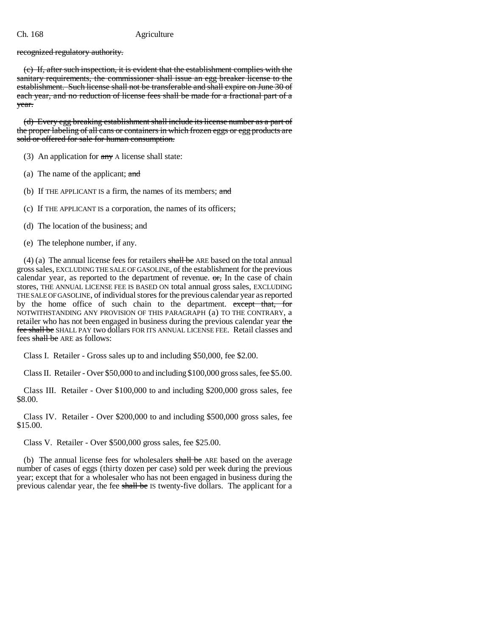recognized regulatory authority.

(c) If, after such inspection, it is evident that the establishment complies with the sanitary requirements, the commissioner shall issue an egg breaker license to the establishment. Such license shall not be transferable and shall expire on June 30 of each year, and no reduction of license fees shall be made for a fractional part of a year.

(d) Every egg breaking establishment shall include its license number as a part of the proper labeling of all cans or containers in which frozen eggs or egg products are sold or offered for sale for human consumption.

(3) An application for  $\frac{any}{any}$  A license shall state:

(a) The name of the applicant; and

(b) If THE APPLICANT IS a firm, the names of its members;  $\frac{d}{dt}$ 

(c) If THE APPLICANT IS a corporation, the names of its officers;

- (d) The location of the business; and
- (e) The telephone number, if any.

 $(4)$  (a) The annual license fees for retailers shall be ARE based on the total annual gross sales, EXCLUDING THE SALE OF GASOLINE, of the establishment for the previous calendar year, as reported to the department of revenue.  $\sigma$ , In the case of chain stores, THE ANNUAL LICENSE FEE IS BASED ON total annual gross sales, EXCLUDING THE SALE OF GASOLINE, of individual stores for the previous calendar year as reported by the home office of such chain to the department. except that, for NOTWITHSTANDING ANY PROVISION OF THIS PARAGRAPH (a) TO THE CONTRARY, a retailer who has not been engaged in business during the previous calendar year the fee shall be SHALL PAY two dollars FOR ITS ANNUAL LICENSE FEE. Retail classes and fees shall be ARE as follows:

Class I. Retailer - Gross sales up to and including \$50,000, fee \$2.00.

Class II. Retailer - Over \$50,000 to and including \$100,000 gross sales, fee \$5.00.

Class III. Retailer - Over \$100,000 to and including \$200,000 gross sales, fee \$8.00.

Class IV. Retailer - Over \$200,000 to and including \$500,000 gross sales, fee \$15.00.

Class V. Retailer - Over \$500,000 gross sales, fee \$25.00.

(b) The annual license fees for wholesalers shall be ARE based on the average number of cases of eggs (thirty dozen per case) sold per week during the previous year; except that for a wholesaler who has not been engaged in business during the previous calendar year, the fee shall be IS twenty-five dollars. The applicant for a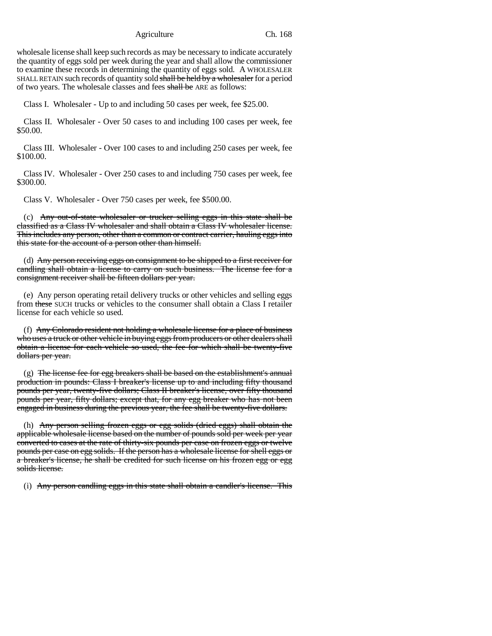wholesale license shall keep such records as may be necessary to indicate accurately the quantity of eggs sold per week during the year and shall allow the commissioner to examine these records in determining the quantity of eggs sold. A WHOLESALER SHALL RETAIN such records of quantity sold shall be held by a wholesaler for a period of two years. The wholesale classes and fees shall be ARE as follows:

Class I. Wholesaler - Up to and including 50 cases per week, fee \$25.00.

Class II. Wholesaler - Over 50 cases to and including 100 cases per week, fee \$50.00.

Class III. Wholesaler - Over 100 cases to and including 250 cases per week, fee \$100.00.

Class IV. Wholesaler - Over 250 cases to and including 750 cases per week, fee \$300.00.

Class V. Wholesaler - Over 750 cases per week, fee \$500.00.

(c) Any out-of-state wholesaler or trucker selling eggs in this state shall be classified as a Class IV wholesaler and shall obtain a Class IV wholesaler license. This includes any person, other than a common or contract carrier, hauling eggs into this state for the account of a person other than himself.

(d) Any person receiving eggs on consignment to be shipped to a first receiver for candling shall obtain a license to carry on such business. The license fee for a consignment receiver shall be fifteen dollars per year.

(e) Any person operating retail delivery trucks or other vehicles and selling eggs from these SUCH trucks or vehicles to the consumer shall obtain a Class I retailer license for each vehicle so used.

(f) Any Colorado resident not holding a wholesale license for a place of business who uses a truck or other vehicle in buying eggs from producers or other dealers shall obtain a license for each vehicle so used, the fee for which shall be twenty-five dollars per year.

(g) The license fee for egg breakers shall be based on the establishment's annual production in pounds: Class I breaker's license up to and including fifty thousand pounds per year, twenty-five dollars; Class II breaker's license, over fifty thousand pounds per year, fifty dollars; except that, for any egg breaker who has not been engaged in business during the previous year, the fee shall be twenty-five dollars.

(h) Any person selling frozen eggs or egg solids (dried eggs) shall obtain the applicable wholesale license based on the number of pounds sold per week per year converted to cases at the rate of thirty-six pounds per case on frozen eggs or twelve pounds per case on egg solids. If the person has a wholesale license for shell eggs or a breaker's license, he shall be credited for such license on his frozen egg or egg solids license.

(i) Any person candling eggs in this state shall obtain a candler's license. This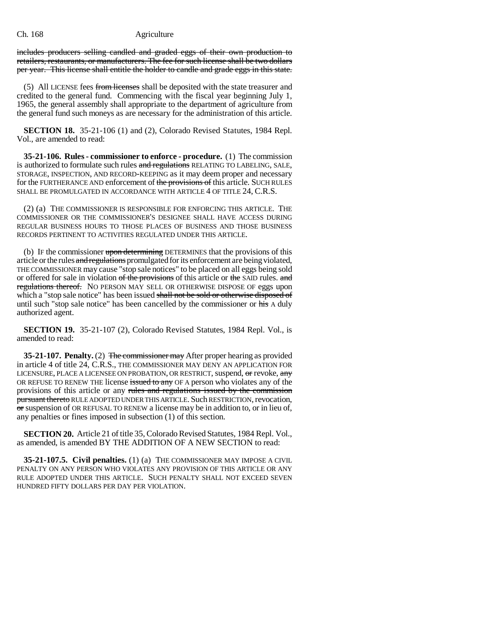includes producers selling candled and graded eggs of their own production to retailers, restaurants, or manufacturers. The fee for such license shall be two dollars per year. This license shall entitle the holder to candle and grade eggs in this state.

(5) All LICENSE fees from licenses shall be deposited with the state treasurer and credited to the general fund. Commencing with the fiscal year beginning July 1, 1965, the general assembly shall appropriate to the department of agriculture from the general fund such moneys as are necessary for the administration of this article.

**SECTION 18.** 35-21-106 (1) and (2), Colorado Revised Statutes, 1984 Repl. Vol., are amended to read:

**35-21-106. Rules - commissioner to enforce - procedure.** (1) The commission is authorized to formulate such rules and regulations RELATING TO LABELING, SALE, STORAGE, INSPECTION, AND RECORD-KEEPING as it may deem proper and necessary for the FURTHERANCE AND enforcement of the provisions of this article. SUCH RULES SHALL BE PROMULGATED IN ACCORDANCE WITH ARTICLE 4 OF TITLE 24, C.R.S.

(2) (a) THE COMMISSIONER IS RESPONSIBLE FOR ENFORCING THIS ARTICLE. THE COMMISSIONER OR THE COMMISSIONER'S DESIGNEE SHALL HAVE ACCESS DURING REGULAR BUSINESS HOURS TO THOSE PLACES OF BUSINESS AND THOSE BUSINESS RECORDS PERTINENT TO ACTIVITIES REGULATED UNDER THIS ARTICLE.

(b) IF the commissioner upon determining DETERMINES that the provisions of this article or the rules and regulations promulgated for its enforcement are being violated, THE COMMISSIONER may cause "stop sale notices" to be placed on all eggs being sold or offered for sale in violation of the provisions of this article or the SAID rules. and regulations thereof. NO PERSON MAY SELL OR OTHERWISE DISPOSE OF eggs upon which a "stop sale notice" has been issued shall not be sold or otherwise disposed of until such "stop sale notice" has been cancelled by the commissioner or his A duly authorized agent.

**SECTION 19.** 35-21-107 (2), Colorado Revised Statutes, 1984 Repl. Vol., is amended to read:

**35-21-107. Penalty.** (2) The commissioner may After proper hearing as provided in article 4 of title 24, C.R.S., THE COMMISSIONER MAY DENY AN APPLICATION FOR LICENSURE, PLACE A LICENSEE ON PROBATION, OR RESTRICT, suspend, or revoke, any OR REFUSE TO RENEW THE license issued to any OF A person who violates any of the provisions of this article or any rules and regulations issued by the commission pursuant thereto RULE ADOPTED UNDER THIS ARTICLE. Such RESTRICTION, revocation,  $\sigma$  suspension of OR REFUSAL TO RENEW a license may be in addition to, or in lieu of, any penalties or fines imposed in subsection (1) of this section.

**SECTION 20.** Article 21 of title 35, Colorado Revised Statutes, 1984 Repl. Vol., as amended, is amended BY THE ADDITION OF A NEW SECTION to read:

**35-21-107.5. Civil penalties.** (1) (a) THE COMMISSIONER MAY IMPOSE A CIVIL PENALTY ON ANY PERSON WHO VIOLATES ANY PROVISION OF THIS ARTICLE OR ANY RULE ADOPTED UNDER THIS ARTICLE. SUCH PENALTY SHALL NOT EXCEED SEVEN HUNDRED FIFTY DOLLARS PER DAY PER VIOLATION.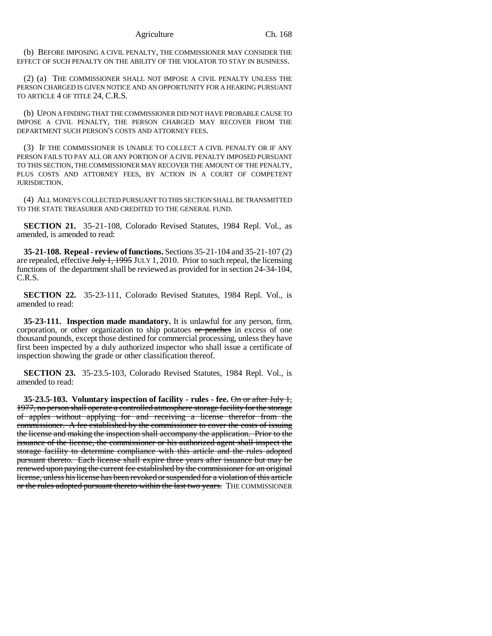(b) BEFORE IMPOSING A CIVIL PENALTY, THE COMMISSIONER MAY CONSIDER THE EFFECT OF SUCH PENALTY ON THE ABILITY OF THE VIOLATOR TO STAY IN BUSINESS.

(2) (a) THE COMMISSIONER SHALL NOT IMPOSE A CIVIL PENALTY UNLESS THE PERSON CHARGED IS GIVEN NOTICE AND AN OPPORTUNITY FOR A HEARING PURSUANT TO ARTICLE 4 OF TITLE 24, C.R.S.

(b) UPON A FINDING THAT THE COMMISSIONER DID NOT HAVE PROBABLE CAUSE TO IMPOSE A CIVIL PENALTY, THE PERSON CHARGED MAY RECOVER FROM THE DEPARTMENT SUCH PERSON'S COSTS AND ATTORNEY FEES.

(3) IF THE COMMISSIONER IS UNABLE TO COLLECT A CIVIL PENALTY OR IF ANY PERSON FAILS TO PAY ALL OR ANY PORTION OF A CIVIL PENALTY IMPOSED PURSUANT TO THIS SECTION, THE COMMISSIONER MAY RECOVER THE AMOUNT OF THE PENALTY, PLUS COSTS AND ATTORNEY FEES, BY ACTION IN A COURT OF COMPETENT JURISDICTION.

(4) ALL MONEYS COLLECTED PURSUANT TO THIS SECTION SHALL BE TRANSMITTED TO THE STATE TREASURER AND CREDITED TO THE GENERAL FUND.

**SECTION 21.** 35-21-108, Colorado Revised Statutes, 1984 Repl. Vol., as amended, is amended to read:

**35-21-108. Repeal - review of functions.** Sections 35-21-104 and 35-21-107 (2) are repealed, effective  $J_{\text{t}}$   $J_{\text{t}}$ ,  $J_{\text{t}}$   $995$  JULY 1, 2010. Prior to such repeal, the licensing functions of the department shall be reviewed as provided for in section 24-34-104, C.R.S.

**SECTION 22.** 35-23-111, Colorado Revised Statutes, 1984 Repl. Vol., is amended to read:

**35-23-111. Inspection made mandatory.** It is unlawful for any person, firm, corporation, or other organization to ship potatoes  $\sigma r$  peaches in excess of one thousand pounds, except those destined for commercial processing, unless they have first been inspected by a duly authorized inspector who shall issue a certificate of inspection showing the grade or other classification thereof.

**SECTION 23.** 35-23.5-103, Colorado Revised Statutes, 1984 Repl. Vol., is amended to read:

**35-23.5-103. Voluntary inspection of facility - rules - fee.** On or after July 1, 1977, no person shall operate a controlled atmosphere storage facility for the storage of apples without applying for and receiving a license therefor from the commissioner. A fee established by the commissioner to cover the costs of issuing the license and making the inspection shall accompany the application. Prior to the issuance of the license, the commissioner or his authorized agent shall inspect the storage facility to determine compliance with this article and the rules adopted pursuant thereto. Each license shall expire three years after issuance but may be renewed upon paying the current fee established by the commissioner for an original license, unless his license has been revoked or suspended for a violation of this article or the rules adopted pursuant thereto within the last two years. THE COMMISSIONER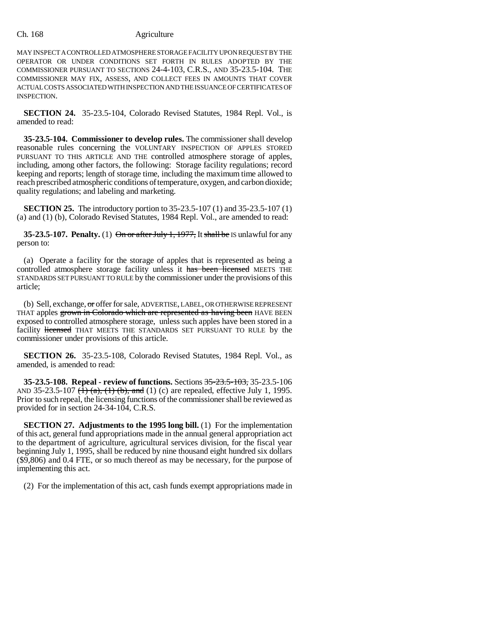MAY INSPECT A CONTROLLED ATMOSPHERE STORAGE FACILITY UPON REQUEST BY THE OPERATOR OR UNDER CONDITIONS SET FORTH IN RULES ADOPTED BY THE COMMISSIONER PURSUANT TO SECTIONS 24-4-103, C.R.S., AND 35-23.5-104. THE COMMISSIONER MAY FIX, ASSESS, AND COLLECT FEES IN AMOUNTS THAT COVER ACTUAL COSTS ASSOCIATED WITH INSPECTION AND THE ISSUANCE OF CERTIFICATES OF INSPECTION.

**SECTION 24.** 35-23.5-104, Colorado Revised Statutes, 1984 Repl. Vol., is amended to read:

**35-23.5-104. Commissioner to develop rules.** The commissioner shall develop reasonable rules concerning the VOLUNTARY INSPECTION OF APPLES STORED PURSUANT TO THIS ARTICLE AND THE controlled atmosphere storage of apples, including, among other factors, the following: Storage facility regulations; record keeping and reports; length of storage time, including the maximum time allowed to reach prescribed atmospheric conditions of temperature, oxygen, and carbon dioxide; quality regulations; and labeling and marketing.

**SECTION 25.** The introductory portion to 35-23.5-107 (1) and 35-23.5-107 (1) (a) and (1) (b), Colorado Revised Statutes, 1984 Repl. Vol., are amended to read:

**35-23.5-107. Penalty.** (1)  $\Theta$ n or after July 1, 1977, It shall be IS unlawful for any person to:

(a) Operate a facility for the storage of apples that is represented as being a controlled atmosphere storage facility unless it has been licensed MEETS THE STANDARDS SET PURSUANT TO RULE by the commissioner under the provisions of this article;

(b) Sell, exchange, or offer for sale, ADVERTISE, LABEL, OR OTHERWISE REPRESENT THAT apples grown in Colorado which are represented as having been HAVE BEEN exposed to controlled atmosphere storage, unless such apples have been stored in a facility licensed THAT MEETS THE STANDARDS SET PURSUANT TO RULE by the commissioner under provisions of this article.

**SECTION 26.** 35-23.5-108, Colorado Revised Statutes, 1984 Repl. Vol., as amended, is amended to read:

**35-23.5-108. Repeal - review of functions.** Sections 35-23.5-103, 35-23.5-106 AND 35-23.5-107  $(1)$   $(a)$ ,  $(1)$   $(b)$ , and  $(1)$   $(c)$  are repealed, effective July 1, 1995. Prior to such repeal, the licensing functions of the commissioner shall be reviewed as provided for in section 24-34-104, C.R.S.

**SECTION 27. Adjustments to the 1995 long bill.** (1) For the implementation of this act, general fund appropriations made in the annual general appropriation act to the department of agriculture, agricultural services division, for the fiscal year beginning July 1, 1995, shall be reduced by nine thousand eight hundred six dollars (\$9,806) and 0.4 FTE, or so much thereof as may be necessary, for the purpose of implementing this act.

(2) For the implementation of this act, cash funds exempt appropriations made in